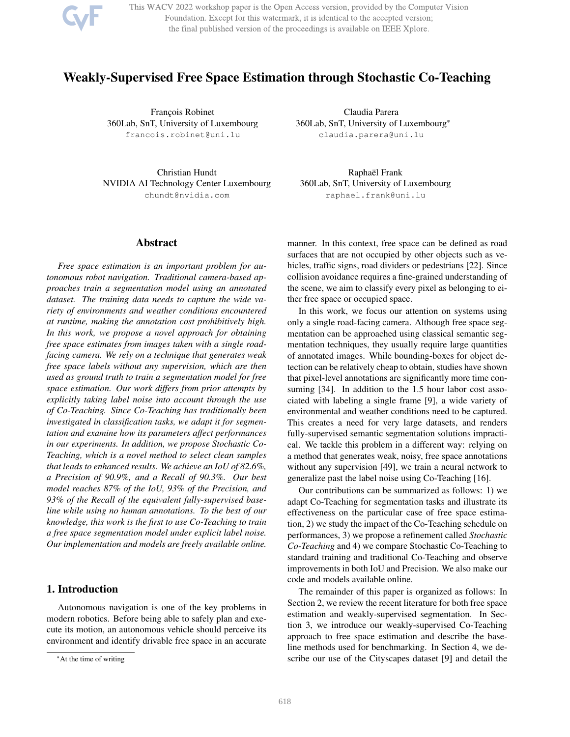

This WACV 2022 workshop paper is the Open Access version, provided by the Computer Vision Foundation. Except for this watermark, it is identical to the accepted version; the final published version of the proceedings is available on IEEE Xplore.

# Weakly-Supervised Free Space Estimation through Stochastic Co-Teaching

François Robinet 360Lab, SnT, University of Luxembourg francois.robinet@uni.lu

Christian Hundt NVIDIA AI Technology Center Luxembourg chundt@nvidia.com

# Abstract

*Free space estimation is an important problem for autonomous robot navigation. Traditional camera-based approaches train a segmentation model using an annotated dataset. The training data needs to capture the wide variety of environments and weather conditions encountered at runtime, making the annotation cost prohibitively high. In this work, we propose a novel approach for obtaining free space estimates from images taken with a single roadfacing camera. We rely on a technique that generates weak free space labels without any supervision, which are then used as ground truth to train a segmentation model for free space estimation. Our work differs from prior attempts by explicitly taking label noise into account through the use of Co-Teaching. Since Co-Teaching has traditionally been investigated in classification tasks, we adapt it for segmentation and examine how its parameters affect performances in our experiments. In addition, we propose Stochastic Co-Teaching, which is a novel method to select clean samples that leads to enhanced results. We achieve an IoU of 82.6%, a Precision of 90.9%, and a Recall of 90.3%. Our best model reaches 87% of the IoU, 93% of the Precision, and 93% of the Recall of the equivalent fully-supervised baseline while using no human annotations. To the best of our knowledge, this work is the first to use Co-Teaching to train a free space segmentation model under explicit label noise. Our implementation and models are freely available online.*

# 1. Introduction

Autonomous navigation is one of the key problems in modern robotics. Before being able to safely plan and execute its motion, an autonomous vehicle should perceive its environment and identify drivable free space in an accurate

Claudia Parera 360Lab, SnT, University of Luxembourg\* claudia.parera@uni.lu

Raphaël Frank 360Lab, SnT, University of Luxembourg raphael.frank@uni.lu

manner. In this context, free space can be defined as road surfaces that are not occupied by other objects such as vehicles, traffic signs, road dividers or pedestrians [22]. Since collision avoidance requires a fine-grained understanding of the scene, we aim to classify every pixel as belonging to either free space or occupied space.

In this work, we focus our attention on systems using only a single road-facing camera. Although free space segmentation can be approached using classical semantic segmentation techniques, they usually require large quantities of annotated images. While bounding-boxes for object detection can be relatively cheap to obtain, studies have shown that pixel-level annotations are significantly more time consuming [34]. In addition to the 1.5 hour labor cost associated with labeling a single frame [9], a wide variety of environmental and weather conditions need to be captured. This creates a need for very large datasets, and renders fully-supervised semantic segmentation solutions impractical. We tackle this problem in a different way: relying on a method that generates weak, noisy, free space annotations without any supervision [49], we train a neural network to generalize past the label noise using Co-Teaching [16].

Our contributions can be summarized as follows: 1) we adapt Co-Teaching for segmentation tasks and illustrate its effectiveness on the particular case of free space estimation, 2) we study the impact of the Co-Teaching schedule on performances, 3) we propose a refinement called *Stochastic Co-Teaching* and 4) we compare Stochastic Co-Teaching to standard training and traditional Co-Teaching and observe improvements in both IoU and Precision. We also make our code and models available online.

The remainder of this paper is organized as follows: In Section 2, we review the recent literature for both free space estimation and weakly-supervised segmentation. In Section 3, we introduce our weakly-supervised Co-Teaching approach to free space estimation and describe the baseline methods used for benchmarking. In Section 4, we describe our use of the Cityscapes dataset [9] and detail the

<sup>\*</sup>At the time of writing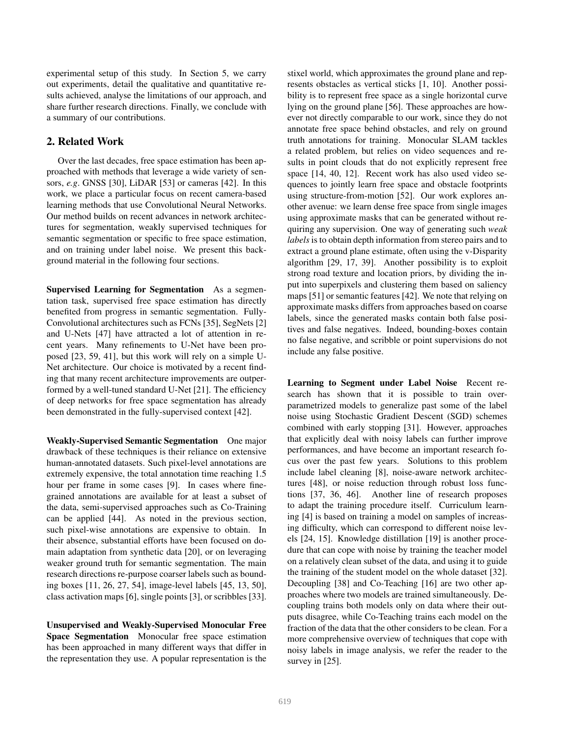experimental setup of this study. In Section 5, we carry out experiments, detail the qualitative and quantitative results achieved, analyse the limitations of our approach, and share further research directions. Finally, we conclude with a summary of our contributions.

# 2. Related Work

Over the last decades, free space estimation has been approached with methods that leverage a wide variety of sensors, *e.g*. GNSS [30], LiDAR [53] or cameras [42]. In this work, we place a particular focus on recent camera-based learning methods that use Convolutional Neural Networks. Our method builds on recent advances in network architectures for segmentation, weakly supervised techniques for semantic segmentation or specific to free space estimation, and on training under label noise. We present this background material in the following four sections.

Supervised Learning for Segmentation As a segmentation task, supervised free space estimation has directly benefited from progress in semantic segmentation. Fully-Convolutional architectures such as FCNs [35], SegNets [2] and U-Nets [47] have attracted a lot of attention in recent years. Many refinements to U-Net have been proposed [23, 59, 41], but this work will rely on a simple U-Net architecture. Our choice is motivated by a recent finding that many recent architecture improvements are outperformed by a well-tuned standard U-Net [21]. The efficiency of deep networks for free space segmentation has already been demonstrated in the fully-supervised context [42].

Weakly-Supervised Semantic Segmentation One major drawback of these techniques is their reliance on extensive human-annotated datasets. Such pixel-level annotations are extremely expensive, the total annotation time reaching 1.5 hour per frame in some cases [9]. In cases where finegrained annotations are available for at least a subset of the data, semi-supervised approaches such as Co-Training can be applied [44]. As noted in the previous section, such pixel-wise annotations are expensive to obtain. In their absence, substantial efforts have been focused on domain adaptation from synthetic data [20], or on leveraging weaker ground truth for semantic segmentation. The main research directions re-purpose coarser labels such as bounding boxes [11, 26, 27, 54], image-level labels [45, 13, 50], class activation maps [6], single points [3], or scribbles [33].

Unsupervised and Weakly-Supervised Monocular Free Space Segmentation Monocular free space estimation has been approached in many different ways that differ in the representation they use. A popular representation is the

stixel world, which approximates the ground plane and represents obstacles as vertical sticks [1, 10]. Another possibility is to represent free space as a single horizontal curve lying on the ground plane [56]. These approaches are however not directly comparable to our work, since they do not annotate free space behind obstacles, and rely on ground truth annotations for training. Monocular SLAM tackles a related problem, but relies on video sequences and results in point clouds that do not explicitly represent free space [14, 40, 12]. Recent work has also used video sequences to jointly learn free space and obstacle footprints using structure-from-motion [52]. Our work explores another avenue: we learn dense free space from single images using approximate masks that can be generated without requiring any supervision. One way of generating such *weak labels*is to obtain depth information from stereo pairs and to extract a ground plane estimate, often using the v-Disparity algorithm [29, 17, 39]. Another possibility is to exploit strong road texture and location priors, by dividing the input into superpixels and clustering them based on saliency maps [51] or semantic features [42]. We note that relying on approximate masks differs from approaches based on coarse labels, since the generated masks contain both false positives and false negatives. Indeed, bounding-boxes contain no false negative, and scribble or point supervisions do not include any false positive.

Learning to Segment under Label Noise Recent research has shown that it is possible to train overparametrized models to generalize past some of the label noise using Stochastic Gradient Descent (SGD) schemes combined with early stopping [31]. However, approaches that explicitly deal with noisy labels can further improve performances, and have become an important research focus over the past few years. Solutions to this problem include label cleaning [8], noise-aware network architectures [48], or noise reduction through robust loss functions [37, 36, 46]. Another line of research proposes to adapt the training procedure itself. Curriculum learning [4] is based on training a model on samples of increasing difficulty, which can correspond to different noise levels [24, 15]. Knowledge distillation [19] is another procedure that can cope with noise by training the teacher model on a relatively clean subset of the data, and using it to guide the training of the student model on the whole dataset [32]. Decoupling [38] and Co-Teaching [16] are two other approaches where two models are trained simultaneously. Decoupling trains both models only on data where their outputs disagree, while Co-Teaching trains each model on the fraction of the data that the other considers to be clean. For a more comprehensive overview of techniques that cope with noisy labels in image analysis, we refer the reader to the survey in [25].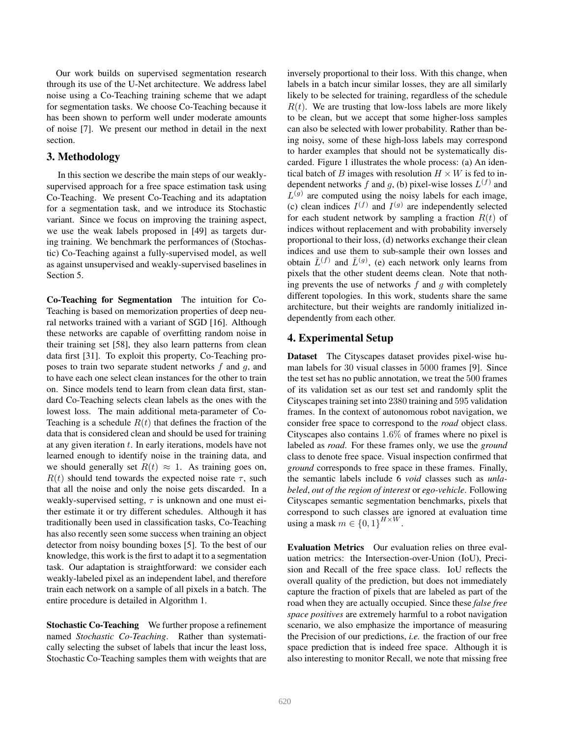Our work builds on supervised segmentation research through its use of the U-Net architecture. We address label noise using a Co-Teaching training scheme that we adapt for segmentation tasks. We choose Co-Teaching because it has been shown to perform well under moderate amounts of noise [7]. We present our method in detail in the next section.

### 3. Methodology

In this section we describe the main steps of our weaklysupervised approach for a free space estimation task using Co-Teaching. We present Co-Teaching and its adaptation for a segmentation task, and we introduce its Stochastic variant. Since we focus on improving the training aspect, we use the weak labels proposed in [49] as targets during training. We benchmark the performances of (Stochastic) Co-Teaching against a fully-supervised model, as well as against unsupervised and weakly-supervised baselines in Section 5.

Co-Teaching for Segmentation The intuition for Co-Teaching is based on memorization properties of deep neural networks trained with a variant of SGD [16]. Although these networks are capable of overfitting random noise in their training set [58], they also learn patterns from clean data first [31]. To exploit this property, Co-Teaching proposes to train two separate student networks  $f$  and  $g$ , and to have each one select clean instances for the other to train on. Since models tend to learn from clean data first, standard Co-Teaching selects clean labels as the ones with the lowest loss. The main additional meta-parameter of Co-Teaching is a schedule  $R(t)$  that defines the fraction of the data that is considered clean and should be used for training at any given iteration  $t$ . In early iterations, models have not learned enough to identify noise in the training data, and we should generally set  $R(t) \approx 1$ . As training goes on,  $R(t)$  should tend towards the expected noise rate  $\tau$ , such that all the noise and only the noise gets discarded. In a weakly-supervised setting,  $\tau$  is unknown and one must either estimate it or try different schedules. Although it has traditionally been used in classification tasks, Co-Teaching has also recently seen some success when training an object detector from noisy bounding boxes [5]. To the best of our knowledge, this work is the first to adapt it to a segmentation task. Our adaptation is straightforward: we consider each weakly-labeled pixel as an independent label, and therefore train each network on a sample of all pixels in a batch. The entire procedure is detailed in Algorithm 1.

Stochastic Co-Teaching We further propose a refinement named *Stochastic Co-Teaching*. Rather than systematically selecting the subset of labels that incur the least loss, Stochastic Co-Teaching samples them with weights that are inversely proportional to their loss. With this change, when labels in a batch incur similar losses, they are all similarly likely to be selected for training, regardless of the schedule  $R(t)$ . We are trusting that low-loss labels are more likely to be clean, but we accept that some higher-loss samples can also be selected with lower probability. Rather than being noisy, some of these high-loss labels may correspond to harder examples that should not be systematically discarded. Figure 1 illustrates the whole process: (a) An identical batch of B images with resolution  $H \times W$  is fed to independent networks f and g, (b) pixel-wise losses  $L^{(f)}$  and  $L<sup>(g)</sup>$  are computed using the noisy labels for each image, (c) clean indices  $I^{(f)}$  and  $I^{(g)}$  are independently selected for each student network by sampling a fraction  $R(t)$  of indices without replacement and with probability inversely proportional to their loss, (d) networks exchange their clean indices and use them to sub-sample their own losses and obtain  $\bar{L}^{(f)}$  and  $\bar{L}^{(g)}$ , (e) each network only learns from pixels that the other student deems clean. Note that nothing prevents the use of networks  $f$  and  $g$  with completely different topologies. In this work, students share the same architecture, but their weights are randomly initialized independently from each other.

# 4. Experimental Setup

Dataset The Cityscapes dataset provides pixel-wise human labels for 30 visual classes in 5000 frames [9]. Since the test set has no public annotation, we treat the 500 frames of its validation set as our test set and randomly split the Cityscapes training set into 2380 training and 595 validation frames. In the context of autonomous robot navigation, we consider free space to correspond to the *road* object class. Cityscapes also contains 1.6% of frames where no pixel is labeled as *road*. For these frames only, we use the *ground* class to denote free space. Visual inspection confirmed that *ground* corresponds to free space in these frames. Finally, the semantic labels include 6 *void* classes such as *unlabeled*, *out of the region of interest* or *ego-vehicle*. Following Cityscapes semantic segmentation benchmarks, pixels that correspond to such classes are ignored at evaluation time using a mask  $m \in \{0,1\}^{H \times W}$ .

Evaluation Metrics Our evaluation relies on three evaluation metrics: the Intersection-over-Union (IoU), Precision and Recall of the free space class. IoU reflects the overall quality of the prediction, but does not immediately capture the fraction of pixels that are labeled as part of the road when they are actually occupied. Since these *false free space positives* are extremely harmful to a robot navigation scenario, we also emphasize the importance of measuring the Precision of our predictions, *i.e.* the fraction of our free space prediction that is indeed free space. Although it is also interesting to monitor Recall, we note that missing free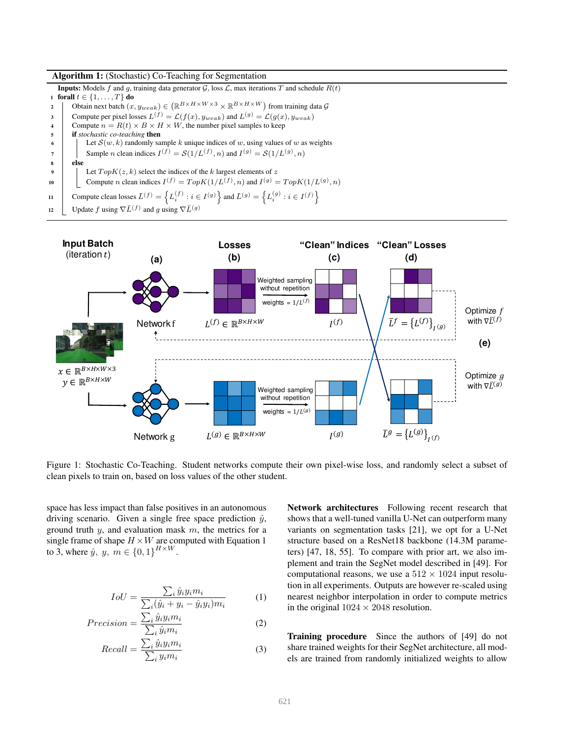#### Algorithm 1: (Stochastic) Co-Teaching for Segmentation

**Inputs:** Models f and g, training data generator  $G$ , loss  $L$ , max iterations T and schedule  $R(t)$ 1 forall  $t \in \{1, \ldots, T\}$  do 2 | Obtain next batch  $(x, y_{weak}) \in (\mathbb{R}^{B \times H \times W \times 3} \times \mathbb{R}^{B \times H \times W})$  from training data  $\mathcal{G}$ 3 Compute per pixel losses  $L^{(f)} = \mathcal{L}(f(x), y_{weak})$  and  $L^{(g)} = \mathcal{L}(g(x), y_{weak})$ 4 Compute  $n = R(t) \times B \times H \times W$ , the number pixel samples to keep <sup>5</sup> if *stochastic co-teaching* then 6 Let  $S(w, k)$  randomly sample k unique indices of w, using values of w as weights 7 Sample *n* clean indices  $I^{(f)} = S(1/L^{(f)}, n)$  and  $I^{(g)} = S(1/L^{(g)}, n)$ <sup>8</sup> else **9** Let  $TopK(z, k)$  select the indices of the k largest elements of z 10 Compute *n* clean indices  $I^{(f)} = TopK(1/L^{(f)}, n)$  and  $I^{(g)} = TopK(1/L^{(g)}, n)$ 11 Compute clean losses  $\bar{L}^{(f)} = \left\{ L_i^{(f)} : i \in I^{(g)} \right\}$  and  $\bar{L}^{(g)} = \left\{ L_i^{(g)} : i \in I^{(f)} \right\}$ 12 Update f using  $\nabla \bar{L}^{(f)}$  and g using  $\nabla \bar{L}^{(g)}$ 



Figure 1: Stochastic Co-Teaching. Student networks compute their own pixel-wise loss, and randomly select a subset of clean pixels to train on, based on loss values of the other student.

space has less impact than false positives in an autonomous driving scenario. Given a single free space prediction  $\hat{y}$ , ground truth  $y$ , and evaluation mask  $m$ , the metrics for a single frame of shape  $H \times W$  are computed with Equation 1 to 3, where  $\hat{y}$ ,  $y$ ,  $m \in \{0, 1\}^{H \times W}$ .

$$
IoU = \frac{\sum_{i} \hat{y}_{i} y_{i} m_{i}}{\sum_{i} (\hat{y}_{i} + y_{i} - \hat{y}_{i} y_{i}) m_{i}}
$$
(1)

$$
Precision = \frac{\sum_{i} \hat{y}_{i} y_{i} m_{i}}{\sum_{i} \hat{y}_{i} m_{i}}
$$
 (2)

$$
Recall = \frac{\sum_{i} \hat{y}_{i} y_{i} m_{i}}{\sum_{i} y_{i} m_{i}} \tag{3}
$$

Network architectures Following recent research that shows that a well-tuned vanilla U-Net can outperform many variants on segmentation tasks [21], we opt for a U-Net structure based on a ResNet18 backbone (14.3M parameters) [47, 18, 55]. To compare with prior art, we also implement and train the SegNet model described in [49]. For computational reasons, we use a  $512 \times 1024$  input resolution in all experiments. Outputs are however re-scaled using nearest neighbor interpolation in order to compute metrics in the original  $1024 \times 2048$  resolution.

Training procedure Since the authors of [49] do not share trained weights for their SegNet architecture, all models are trained from randomly initialized weights to allow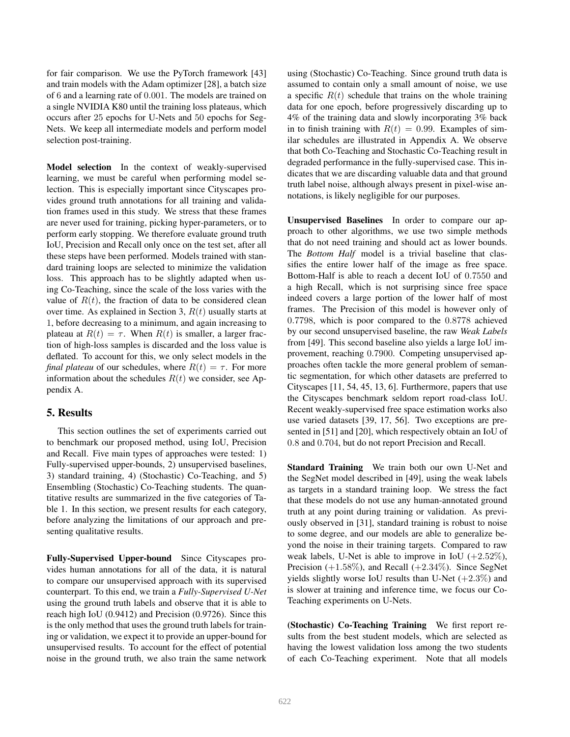for fair comparison. We use the PyTorch framework [43] and train models with the Adam optimizer [28], a batch size of 6 and a learning rate of 0.001. The models are trained on a single NVIDIA K80 until the training loss plateaus, which occurs after 25 epochs for U-Nets and 50 epochs for Seg-Nets. We keep all intermediate models and perform model selection post-training.

Model selection In the context of weakly-supervised learning, we must be careful when performing model selection. This is especially important since Cityscapes provides ground truth annotations for all training and validation frames used in this study. We stress that these frames are never used for training, picking hyper-parameters, or to perform early stopping. We therefore evaluate ground truth IoU, Precision and Recall only once on the test set, after all these steps have been performed. Models trained with standard training loops are selected to minimize the validation loss. This approach has to be slightly adapted when using Co-Teaching, since the scale of the loss varies with the value of  $R(t)$ , the fraction of data to be considered clean over time. As explained in Section 3,  $R(t)$  usually starts at 1, before decreasing to a minimum, and again increasing to plateau at  $R(t) = \tau$ . When  $R(t)$  is smaller, a larger fraction of high-loss samples is discarded and the loss value is deflated. To account for this, we only select models in the *final plateau* of our schedules, where  $R(t) = \tau$ . For more information about the schedules  $R(t)$  we consider, see Appendix A.

# 5. Results

This section outlines the set of experiments carried out to benchmark our proposed method, using IoU, Precision and Recall. Five main types of approaches were tested: 1) Fully-supervised upper-bounds, 2) unsupervised baselines, 3) standard training, 4) (Stochastic) Co-Teaching, and 5) Ensembling (Stochastic) Co-Teaching students. The quantitative results are summarized in the five categories of Table 1. In this section, we present results for each category, before analyzing the limitations of our approach and presenting qualitative results.

Fully-Supervised Upper-bound Since Cityscapes provides human annotations for all of the data, it is natural to compare our unsupervised approach with its supervised counterpart. To this end, we train a *Fully-Supervised U-Net* using the ground truth labels and observe that it is able to reach high IoU (0.9412) and Precision (0.9726). Since this is the only method that uses the ground truth labels for training or validation, we expect it to provide an upper-bound for unsupervised results. To account for the effect of potential noise in the ground truth, we also train the same network using (Stochastic) Co-Teaching. Since ground truth data is assumed to contain only a small amount of noise, we use a specific  $R(t)$  schedule that trains on the whole training data for one epoch, before progressively discarding up to 4% of the training data and slowly incorporating 3% back in to finish training with  $R(t) = 0.99$ . Examples of similar schedules are illustrated in Appendix A. We observe that both Co-Teaching and Stochastic Co-Teaching result in degraded performance in the fully-supervised case. This indicates that we are discarding valuable data and that ground truth label noise, although always present in pixel-wise annotations, is likely negligible for our purposes.

Unsupervised Baselines In order to compare our approach to other algorithms, we use two simple methods that do not need training and should act as lower bounds. The *Bottom Half* model is a trivial baseline that classifies the entire lower half of the image as free space. Bottom-Half is able to reach a decent IoU of 0.7550 and a high Recall, which is not surprising since free space indeed covers a large portion of the lower half of most frames. The Precision of this model is however only of 0.7798, which is poor compared to the 0.8778 achieved by our second unsupervised baseline, the raw *Weak Labels* from [49]. This second baseline also yields a large IoU improvement, reaching 0.7900. Competing unsupervised approaches often tackle the more general problem of semantic segmentation, for which other datasets are preferred to Cityscapes [11, 54, 45, 13, 6]. Furthermore, papers that use the Cityscapes benchmark seldom report road-class IoU. Recent weakly-supervised free space estimation works also use varied datasets [39, 17, 56]. Two exceptions are presented in [51] and [20], which respectively obtain an IoU of 0.8 and 0.704, but do not report Precision and Recall.

Standard Training We train both our own U-Net and the SegNet model described in [49], using the weak labels as targets in a standard training loop. We stress the fact that these models do not use any human-annotated ground truth at any point during training or validation. As previously observed in [31], standard training is robust to noise to some degree, and our models are able to generalize beyond the noise in their training targets. Compared to raw weak labels, U-Net is able to improve in IoU  $(+2.52\%),$ Precision  $(+1.58\%)$ , and Recall  $(+2.34\%)$ . Since SegNet yields slightly worse IoU results than U-Net  $(+2.3\%)$  and is slower at training and inference time, we focus our Co-Teaching experiments on U-Nets.

(Stochastic) Co-Teaching Training We first report results from the best student models, which are selected as having the lowest validation loss among the two students of each Co-Teaching experiment. Note that all models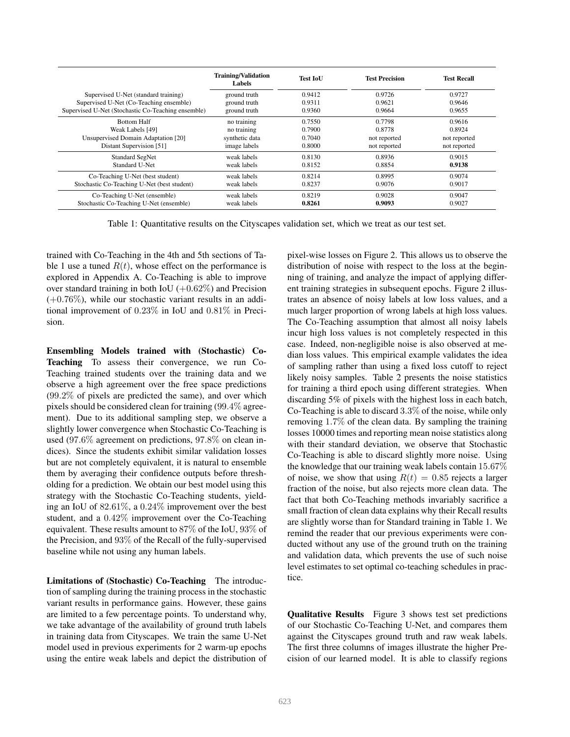|                                                    | <b>Training/Validation</b><br>Labels | Test IoU | <b>Test Precision</b> | <b>Test Recall</b> |
|----------------------------------------------------|--------------------------------------|----------|-----------------------|--------------------|
| Supervised U-Net (standard training)               | ground truth                         | 0.9412   | 0.9726                | 0.9727             |
| Supervised U-Net (Co-Teaching ensemble)            | ground truth                         | 0.9311   | 0.9621                | 0.9646             |
| Supervised U-Net (Stochastic Co-Teaching ensemble) | ground truth                         | 0.9360   | 0.9664                | 0.9655             |
| <b>Bottom Half</b>                                 | no training                          | 0.7550   | 0.7798                | 0.9616             |
| Weak Labels [49]                                   | no training                          | 0.7900   | 0.8778                | 0.8924             |
| Unsupervised Domain Adaptation [20]                | synthetic data                       | 0.7040   | not reported          | not reported       |
| Distant Supervision [51]                           | image labels                         | 0.8000   | not reported          | not reported       |
| Standard SegNet                                    | weak labels                          | 0.8130   | 0.8936                | 0.9015             |
| Standard U-Net                                     | weak labels                          | 0.8152   | 0.8854                | 0.9138             |
| Co-Teaching U-Net (best student)                   | weak labels                          | 0.8214   | 0.8995                | 0.9074             |
| Stochastic Co-Teaching U-Net (best student)        | weak labels                          | 0.8237   | 0.9076                | 0.9017             |
| Co-Teaching U-Net (ensemble)                       | weak labels                          | 0.8219   | 0.9028                | 0.9047             |
| Stochastic Co-Teaching U-Net (ensemble)            | weak labels                          | 0.8261   | 0.9093                | 0.9027             |

Table 1: Quantitative results on the Cityscapes validation set, which we treat as our test set.

trained with Co-Teaching in the 4th and 5th sections of Table 1 use a tuned  $R(t)$ , whose effect on the performance is explored in Appendix A. Co-Teaching is able to improve over standard training in both IoU  $(+0.62\%)$  and Precision  $(+0.76\%)$ , while our stochastic variant results in an additional improvement of 0.23% in IoU and 0.81% in Precision.

Ensembling Models trained with (Stochastic) Co-Teaching To assess their convergence, we run Co-Teaching trained students over the training data and we observe a high agreement over the free space predictions (99.2% of pixels are predicted the same), and over which pixels should be considered clean for training (99.4% agreement). Due to its additional sampling step, we observe a slightly lower convergence when Stochastic Co-Teaching is used (97.6% agreement on predictions, 97.8% on clean indices). Since the students exhibit similar validation losses but are not completely equivalent, it is natural to ensemble them by averaging their confidence outputs before thresholding for a prediction. We obtain our best model using this strategy with the Stochastic Co-Teaching students, yielding an IoU of 82.61%, a 0.24% improvement over the best student, and a 0.42% improvement over the Co-Teaching equivalent. These results amount to 87% of the IoU, 93% of the Precision, and 93% of the Recall of the fully-supervised baseline while not using any human labels.

Limitations of (Stochastic) Co-Teaching The introduction of sampling during the training process in the stochastic variant results in performance gains. However, these gains are limited to a few percentage points. To understand why, we take advantage of the availability of ground truth labels in training data from Cityscapes. We train the same U-Net model used in previous experiments for 2 warm-up epochs using the entire weak labels and depict the distribution of pixel-wise losses on Figure 2. This allows us to observe the distribution of noise with respect to the loss at the beginning of training, and analyze the impact of applying different training strategies in subsequent epochs. Figure 2 illustrates an absence of noisy labels at low loss values, and a much larger proportion of wrong labels at high loss values. The Co-Teaching assumption that almost all noisy labels incur high loss values is not completely respected in this case. Indeed, non-negligible noise is also observed at median loss values. This empirical example validates the idea of sampling rather than using a fixed loss cutoff to reject likely noisy samples. Table 2 presents the noise statistics for training a third epoch using different strategies. When discarding 5% of pixels with the highest loss in each batch, Co-Teaching is able to discard 3.3% of the noise, while only removing 1.7% of the clean data. By sampling the training losses 10000 times and reporting mean noise statistics along with their standard deviation, we observe that Stochastic Co-Teaching is able to discard slightly more noise. Using the knowledge that our training weak labels contain 15.67% of noise, we show that using  $R(t) = 0.85$  rejects a larger fraction of the noise, but also rejects more clean data. The fact that both Co-Teaching methods invariably sacrifice a small fraction of clean data explains why their Recall results are slightly worse than for Standard training in Table 1. We remind the reader that our previous experiments were conducted without any use of the ground truth on the training and validation data, which prevents the use of such noise level estimates to set optimal co-teaching schedules in practice.

Qualitative Results Figure 3 shows test set predictions of our Stochastic Co-Teaching U-Net, and compares them against the Cityscapes ground truth and raw weak labels. The first three columns of images illustrate the higher Precision of our learned model. It is able to classify regions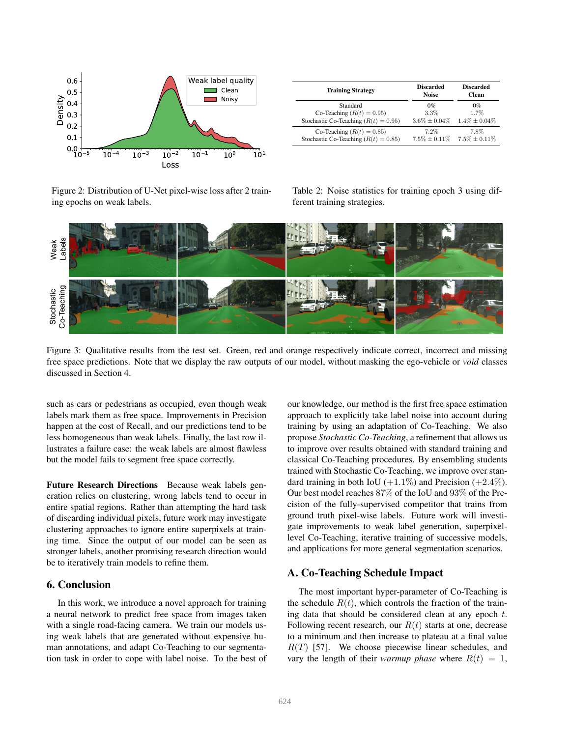

Figure 2: Distribution of U-Net pixel-wise loss after 2 training epochs on weak labels.

| <b>Training Strategy</b>                 | <b>Discarded</b><br><b>Noise</b> | <b>Discarded</b><br><b>Clean</b> |  |
|------------------------------------------|----------------------------------|----------------------------------|--|
| Standard                                 | $0\%$                            | $0\%$                            |  |
| Co-Teaching $(R(t) = 0.95)$              | 3.3%                             | 1.7%                             |  |
| Stochastic Co-Teaching ( $R(t) = 0.95$ ) | $3.6\% \pm 0.04\%$               | $1.4\% \pm 0.04\%$               |  |
| Co-Teaching $(R(t) = 0.85)$              | $7.2\%$                          | 7.8%                             |  |
| Stochastic Co-Teaching ( $R(t) = 0.85$ ) | $7.5\% + 0.11\%$                 | $7.5\% \pm 0.11\%$               |  |

Table 2: Noise statistics for training epoch 3 using different training strategies.



Figure 3: Qualitative results from the test set. Green, red and orange respectively indicate correct, incorrect and missing free space predictions. Note that we display the raw outputs of our model, without masking the ego-vehicle or *void* classes discussed in Section 4.

such as cars or pedestrians as occupied, even though weak labels mark them as free space. Improvements in Precision happen at the cost of Recall, and our predictions tend to be less homogeneous than weak labels. Finally, the last row illustrates a failure case: the weak labels are almost flawless but the model fails to segment free space correctly.

Future Research Directions Because weak labels generation relies on clustering, wrong labels tend to occur in entire spatial regions. Rather than attempting the hard task of discarding individual pixels, future work may investigate clustering approaches to ignore entire superpixels at training time. Since the output of our model can be seen as stronger labels, another promising research direction would be to iteratively train models to refine them.

# 6. Conclusion

In this work, we introduce a novel approach for training a neural network to predict free space from images taken with a single road-facing camera. We train our models using weak labels that are generated without expensive human annotations, and adapt Co-Teaching to our segmentation task in order to cope with label noise. To the best of our knowledge, our method is the first free space estimation approach to explicitly take label noise into account during training by using an adaptation of Co-Teaching. We also propose *Stochastic Co-Teaching*, a refinement that allows us to improve over results obtained with standard training and classical Co-Teaching procedures. By ensembling students trained with Stochastic Co-Teaching, we improve over standard training in both IoU  $(+1.1\%)$  and Precision  $(+2.4\%)$ . Our best model reaches 87% of the IoU and 93% of the Precision of the fully-supervised competitor that trains from ground truth pixel-wise labels. Future work will investigate improvements to weak label generation, superpixellevel Co-Teaching, iterative training of successive models, and applications for more general segmentation scenarios.

## A. Co-Teaching Schedule Impact

The most important hyper-parameter of Co-Teaching is the schedule  $R(t)$ , which controls the fraction of the training data that should be considered clean at any epoch  $t$ . Following recent research, our  $R(t)$  starts at one, decrease to a minimum and then increase to plateau at a final value  $R(T)$  [57]. We choose piecewise linear schedules, and vary the length of their *warmup phase* where  $R(t) = 1$ ,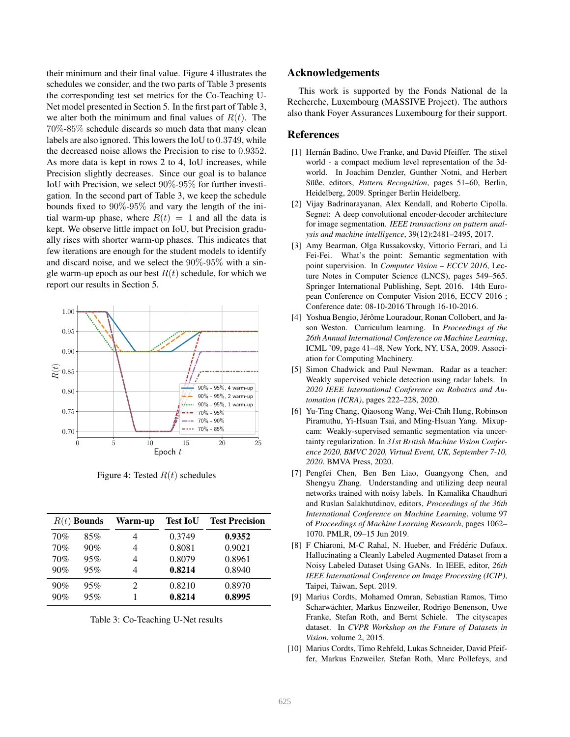their minimum and their final value. Figure 4 illustrates the schedules we consider, and the two parts of Table 3 presents the corresponding test set metrics for the Co-Teaching U-Net model presented in Section 5. In the first part of Table 3, we alter both the minimum and final values of  $R(t)$ . The 70%-85% schedule discards so much data that many clean labels are also ignored. This lowers the IoU to 0.3749, while the decreased noise allows the Precision to rise to 0.9352. As more data is kept in rows 2 to 4, IoU increases, while Precision slightly decreases. Since our goal is to balance IoU with Precision, we select 90%*-*95% for further investigation. In the second part of Table 3, we keep the schedule bounds fixed to 90%*-*95% and vary the length of the initial warm-up phase, where  $R(t) = 1$  and all the data is kept. We observe little impact on IoU, but Precision gradually rises with shorter warm-up phases. This indicates that few iterations are enough for the student models to identify and discard noise, and we select the 90%*-*95% with a single warm-up epoch as our best  $R(t)$  schedule, for which we report our results in Section 5.



Figure 4: Tested  $R(t)$  schedules

|     | $R(t)$ Bounds | Warm-up | <b>Test IoU</b> | <b>Test Precision</b> |
|-----|---------------|---------|-----------------|-----------------------|
| 70% | 85%           |         | 0.3749          | 0.9352                |
| 70% | 90%           |         | 0.8081          | 0.9021                |
| 70% | 95%           |         | 0.8079          | 0.8961                |
| 90% | 95%           |         | 0.8214          | 0.8940                |
| 90% | 95%           | 2       | 0.8210          | 0.8970                |
| 90% | 95%           |         | 0.8214          | 0.8995                |

Table 3: Co-Teaching U-Net results

#### Acknowledgements

This work is supported by the Fonds National de la Recherche, Luxembourg (MASSIVE Project). The authors also thank Foyer Assurances Luxembourg for their support.

#### References

- [1] Hernán Badino, Uwe Franke, and David Pfeiffer. The stixel world - a compact medium level representation of the 3dworld. In Joachim Denzler, Gunther Notni, and Herbert Süße, editors, Pattern Recognition, pages 51-60, Berlin, Heidelberg, 2009. Springer Berlin Heidelberg.
- [2] Vijay Badrinarayanan, Alex Kendall, and Roberto Cipolla. Segnet: A deep convolutional encoder-decoder architecture for image segmentation. *IEEE transactions on pattern analysis and machine intelligence*, 39(12):2481–2495, 2017.
- [3] Amy Bearman, Olga Russakovsky, Vittorio Ferrari, and Li Fei-Fei. What's the point: Semantic segmentation with point supervision. In *Computer Vision – ECCV 2016*, Lecture Notes in Computer Science (LNCS), pages 549–565. Springer International Publishing, Sept. 2016. 14th European Conference on Computer Vision 2016, ECCV 2016 ; Conference date: 08-10-2016 Through 16-10-2016.
- [4] Yoshua Bengio, Jérôme Louradour, Ronan Collobert, and Jason Weston. Curriculum learning. In *Proceedings of the 26th Annual International Conference on Machine Learning*, ICML '09, page 41–48, New York, NY, USA, 2009. Association for Computing Machinery.
- [5] Simon Chadwick and Paul Newman. Radar as a teacher: Weakly supervised vehicle detection using radar labels. In *2020 IEEE International Conference on Robotics and Automation (ICRA)*, pages 222–228, 2020.
- [6] Yu-Ting Chang, Qiaosong Wang, Wei-Chih Hung, Robinson Piramuthu, Yi-Hsuan Tsai, and Ming-Hsuan Yang. Mixupcam: Weakly-supervised semantic segmentation via uncertainty regularization. In *31st British Machine Vision Conference 2020, BMVC 2020, Virtual Event, UK, September 7-10, 2020*. BMVA Press, 2020.
- [7] Pengfei Chen, Ben Ben Liao, Guangyong Chen, and Shengyu Zhang. Understanding and utilizing deep neural networks trained with noisy labels. In Kamalika Chaudhuri and Ruslan Salakhutdinov, editors, *Proceedings of the 36th International Conference on Machine Learning*, volume 97 of *Proceedings of Machine Learning Research*, pages 1062– 1070. PMLR, 09–15 Jun 2019.
- [8] F Chiaroni, M-C Rahal, N. Hueber, and Frédéric Dufaux. Hallucinating a Cleanly Labeled Augmented Dataset from a Noisy Labeled Dataset Using GANs. In IEEE, editor, *26th IEEE International Conference on Image Processing (ICIP)*, Taipei, Taiwan, Sept. 2019.
- [9] Marius Cordts, Mohamed Omran, Sebastian Ramos, Timo Scharwächter, Markus Enzweiler, Rodrigo Benenson, Uwe Franke, Stefan Roth, and Bernt Schiele. The cityscapes dataset. In *CVPR Workshop on the Future of Datasets in Vision*, volume 2, 2015.
- [10] Marius Cordts, Timo Rehfeld, Lukas Schneider, David Pfeiffer, Markus Enzweiler, Stefan Roth, Marc Pollefeys, and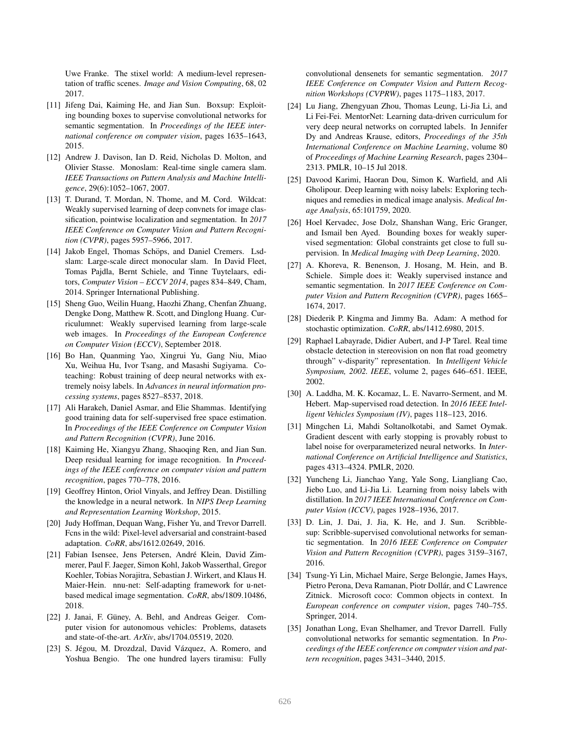Uwe Franke. The stixel world: A medium-level representation of traffic scenes. *Image and Vision Computing*, 68, 02 2017.

- [11] Jifeng Dai, Kaiming He, and Jian Sun. Boxsup: Exploiting bounding boxes to supervise convolutional networks for semantic segmentation. In *Proceedings of the IEEE international conference on computer vision*, pages 1635–1643, 2015.
- [12] Andrew J. Davison, Ian D. Reid, Nicholas D. Molton, and Olivier Stasse. Monoslam: Real-time single camera slam. *IEEE Transactions on Pattern Analysis and Machine Intelligence*, 29(6):1052–1067, 2007.
- [13] T. Durand, T. Mordan, N. Thome, and M. Cord. Wildcat: Weakly supervised learning of deep convnets for image classification, pointwise localization and segmentation. In *2017 IEEE Conference on Computer Vision and Pattern Recognition (CVPR)*, pages 5957–5966, 2017.
- [14] Jakob Engel, Thomas Schöps, and Daniel Cremers. Lsdslam: Large-scale direct monocular slam. In David Fleet, Tomas Pajdla, Bernt Schiele, and Tinne Tuytelaars, editors, *Computer Vision – ECCV 2014*, pages 834–849, Cham, 2014. Springer International Publishing.
- [15] Sheng Guo, Weilin Huang, Haozhi Zhang, Chenfan Zhuang, Dengke Dong, Matthew R. Scott, and Dinglong Huang. Curriculumnet: Weakly supervised learning from large-scale web images. In *Proceedings of the European Conference on Computer Vision (ECCV)*, September 2018.
- [16] Bo Han, Quanming Yao, Xingrui Yu, Gang Niu, Miao Xu, Weihua Hu, Ivor Tsang, and Masashi Sugiyama. Coteaching: Robust training of deep neural networks with extremely noisy labels. In *Advances in neural information processing systems*, pages 8527–8537, 2018.
- [17] Ali Harakeh, Daniel Asmar, and Elie Shammas. Identifying good training data for self-supervised free space estimation. In *Proceedings of the IEEE Conference on Computer Vision and Pattern Recognition (CVPR)*, June 2016.
- [18] Kaiming He, Xiangyu Zhang, Shaoqing Ren, and Jian Sun. Deep residual learning for image recognition. In *Proceedings of the IEEE conference on computer vision and pattern recognition*, pages 770–778, 2016.
- [19] Geoffrey Hinton, Oriol Vinyals, and Jeffrey Dean. Distilling the knowledge in a neural network. In *NIPS Deep Learning and Representation Learning Workshop*, 2015.
- [20] Judy Hoffman, Dequan Wang, Fisher Yu, and Trevor Darrell. Fcns in the wild: Pixel-level adversarial and constraint-based adaptation. *CoRR*, abs/1612.02649, 2016.
- [21] Fabian Isensee, Jens Petersen, André Klein, David Zimmerer, Paul F. Jaeger, Simon Kohl, Jakob Wasserthal, Gregor Koehler, Tobias Norajitra, Sebastian J. Wirkert, and Klaus H. Maier-Hein. nnu-net: Self-adapting framework for u-netbased medical image segmentation. *CoRR*, abs/1809.10486, 2018.
- [22] J. Janai, F. Güney, A. Behl, and Andreas Geiger. Computer vision for autonomous vehicles: Problems, datasets and state-of-the-art. *ArXiv*, abs/1704.05519, 2020.
- [23] S. Jégou, M. Drozdzal, David Vázquez, A. Romero, and Yoshua Bengio. The one hundred layers tiramisu: Fully

convolutional densenets for semantic segmentation. *2017 IEEE Conference on Computer Vision and Pattern Recognition Workshops (CVPRW)*, pages 1175–1183, 2017.

- [24] Lu Jiang, Zhengyuan Zhou, Thomas Leung, Li-Jia Li, and Li Fei-Fei. MentorNet: Learning data-driven curriculum for very deep neural networks on corrupted labels. In Jennifer Dy and Andreas Krause, editors, *Proceedings of the 35th International Conference on Machine Learning*, volume 80 of *Proceedings of Machine Learning Research*, pages 2304– 2313. PMLR, 10–15 Jul 2018.
- [25] Davood Karimi, Haoran Dou, Simon K. Warfield, and Ali Gholipour. Deep learning with noisy labels: Exploring techniques and remedies in medical image analysis. *Medical Image Analysis*, 65:101759, 2020.
- [26] Hoel Kervadec, Jose Dolz, Shanshan Wang, Eric Granger, and Ismail ben Ayed. Bounding boxes for weakly supervised segmentation: Global constraints get close to full supervision. In *Medical Imaging with Deep Learning*, 2020.
- [27] A. Khoreva, R. Benenson, J. Hosang, M. Hein, and B. Schiele. Simple does it: Weakly supervised instance and semantic segmentation. In *2017 IEEE Conference on Computer Vision and Pattern Recognition (CVPR)*, pages 1665– 1674, 2017.
- [28] Diederik P. Kingma and Jimmy Ba. Adam: A method for stochastic optimization. *CoRR*, abs/1412.6980, 2015.
- [29] Raphael Labayrade, Didier Aubert, and J-P Tarel. Real time obstacle detection in stereovision on non flat road geometry through" v-disparity" representation. In *Intelligent Vehicle Symposium, 2002. IEEE*, volume 2, pages 646–651. IEEE, 2002.
- [30] A. Laddha, M. K. Kocamaz, L. E. Navarro-Serment, and M. Hebert. Map-supervised road detection. In *2016 IEEE Intelligent Vehicles Symposium (IV)*, pages 118–123, 2016.
- [31] Mingchen Li, Mahdi Soltanolkotabi, and Samet Oymak. Gradient descent with early stopping is provably robust to label noise for overparameterized neural networks. In *International Conference on Artificial Intelligence and Statistics*, pages 4313–4324. PMLR, 2020.
- [32] Yuncheng Li, Jianchao Yang, Yale Song, Liangliang Cao, Jiebo Luo, and Li-Jia Li. Learning from noisy labels with distillation. In *2017 IEEE International Conference on Computer Vision (ICCV)*, pages 1928–1936, 2017.
- [33] D. Lin, J. Dai, J. Jia, K. He, and J. Sun. Scribblesup: Scribble-supervised convolutional networks for semantic segmentation. In *2016 IEEE Conference on Computer Vision and Pattern Recognition (CVPR)*, pages 3159–3167, 2016.
- [34] Tsung-Yi Lin, Michael Maire, Serge Belongie, James Hays, Pietro Perona, Deva Ramanan, Piotr Dollár, and C Lawrence Zitnick. Microsoft coco: Common objects in context. In *European conference on computer vision*, pages 740–755. Springer, 2014.
- [35] Jonathan Long, Evan Shelhamer, and Trevor Darrell. Fully convolutional networks for semantic segmentation. In *Proceedings of the IEEE conference on computer vision and pattern recognition*, pages 3431–3440, 2015.